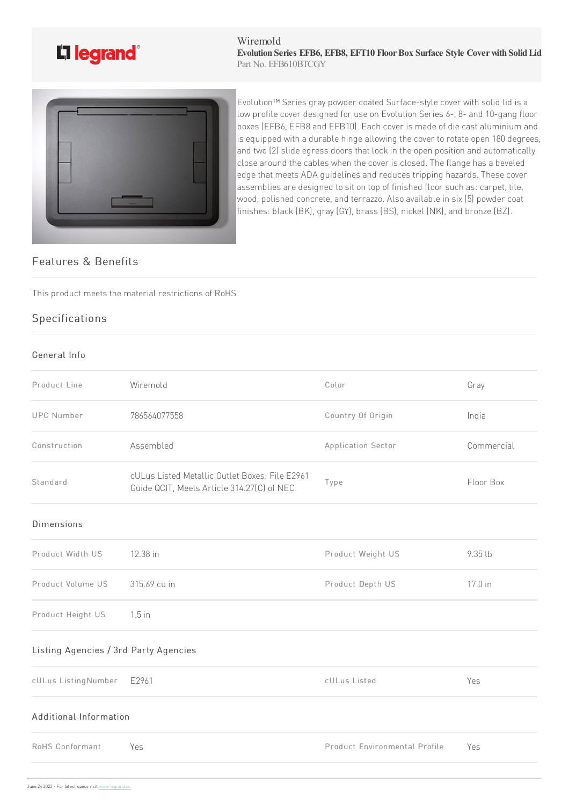

#### Wiremold **Evolution Series EFB6, EFB8, EFT10 FloorBox Surface Style Coverwith SolidLid** Part No. EFB610BTCGY



Evolution™ Series gray powder coated Surface-style cover with solid lid is a low profile cover designed for use on Evolution Series 6-, 8- and 10-gang floor boxes (EFB6, EFB8 and EFB10). Each cover is made of die cast aluminium and is equipped with a durable hinge allowing the cover to rotate open 180 degrees, and two (2) slide egress doors that lock in the open position and automatically close around the cables when the cover is closed. The flange has a beveled edge that meets ADA guidelines and reduces tripping hazards. These cover assemblies are designed to sit on top of finished floor such as: carpet, tile, wood, polished concrete, and terrazzo. Also available in six (5) powder coat finishes: black (BK), gray (GY), brass (BS), nickel (NK), and bronze (BZ).

# Features & Benefits

This product meets the material restrictions of RoHS

# Specifications

#### General Info

| Product Line                          | Wiremold                                                                                      | Color                         | Gray       |
|---------------------------------------|-----------------------------------------------------------------------------------------------|-------------------------------|------------|
| <b>UPC Number</b>                     | 786564077558                                                                                  | Country Of Origin             | India      |
| Construction                          | Assembled                                                                                     | Application Sector            | Commercial |
| Standard                              | cULus Listed Metallic Outlet Boxes: File E2961<br>Guide QCIT, Meets Article 314.27(C) of NEC. | Type                          | Floor Box  |
| <b>Dimensions</b>                     |                                                                                               |                               |            |
| Product Width US                      | 12.38 in                                                                                      | Product Weight US             | 9.35 lb    |
| Product Volume US                     | 315.69 cu in                                                                                  | Product Depth US              | 17.0 in    |
| Product Height US                     | $1.5$ in                                                                                      |                               |            |
| Listing Agencies / 3rd Party Agencies |                                                                                               |                               |            |
| cULus ListingNumber                   | E2961                                                                                         | cULus Listed                  | Yes        |
| Additional Information                |                                                                                               |                               |            |
| RoHS Conformant                       | Yes                                                                                           | Product Environmental Profile | Yes        |